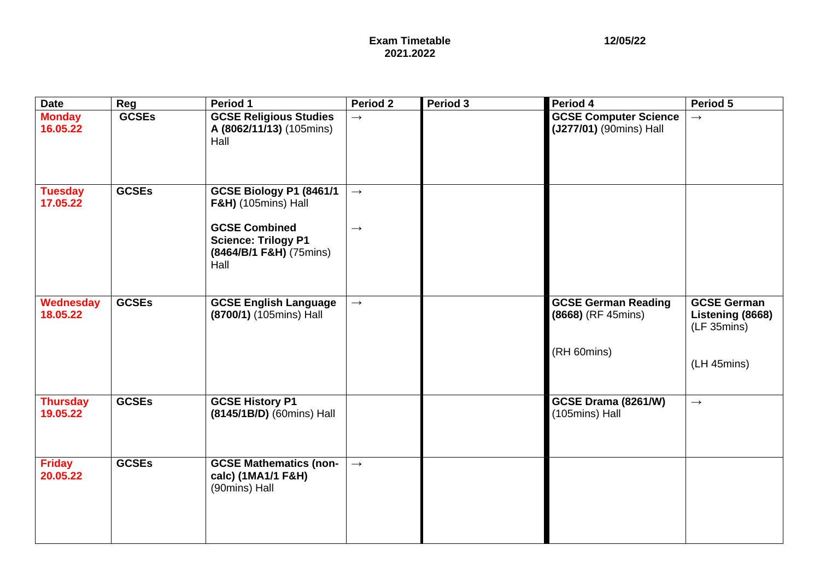| <b>Date</b>                 | Reg          | Period 1                                                                                                                                           | <b>Period 2</b>                    | Period 3 | Period 4                                                        | Period 5                                                             |
|-----------------------------|--------------|----------------------------------------------------------------------------------------------------------------------------------------------------|------------------------------------|----------|-----------------------------------------------------------------|----------------------------------------------------------------------|
| <b>Monday</b><br>16.05.22   | <b>GCSEs</b> | <b>GCSE Religious Studies</b><br>A (8062/11/13) (105mins)<br>Hall                                                                                  | $\rightarrow$                      |          | <b>GCSE Computer Science</b><br>(J277/01) (90mins) Hall         | $\rightarrow$                                                        |
| <b>Tuesday</b><br>17.05.22  | <b>GCSEs</b> | GCSE Biology P1 (8461/1<br><b>F&amp;H)</b> (105mins) Hall<br><b>GCSE Combined</b><br><b>Science: Trilogy P1</b><br>(8464/B/1 F&H) (75mins)<br>Hall | $\longrightarrow$<br>$\rightarrow$ |          |                                                                 |                                                                      |
| Wednesday<br>18.05.22       | <b>GCSEs</b> | <b>GCSE English Language</b><br>(8700/1) (105mins) Hall                                                                                            | $\rightarrow$                      |          | <b>GCSE German Reading</b><br>(8668) (RF 45mins)<br>(RH 60mins) | <b>GCSE German</b><br>Listening (8668)<br>(LF 35mins)<br>(LH 45mins) |
| <b>Thursday</b><br>19.05.22 | <b>GCSEs</b> | <b>GCSE History P1</b><br>(8145/1B/D) (60mins) Hall                                                                                                |                                    |          | GCSE Drama (8261/W)<br>(105mins) Hall                           | $\rightarrow$                                                        |
| <b>Friday</b><br>20.05.22   | <b>GCSEs</b> | <b>GCSE Mathematics (non-</b><br>calc) (1MA1/1 F&H)<br>(90mins) Hall                                                                               | $\rightarrow$                      |          |                                                                 |                                                                      |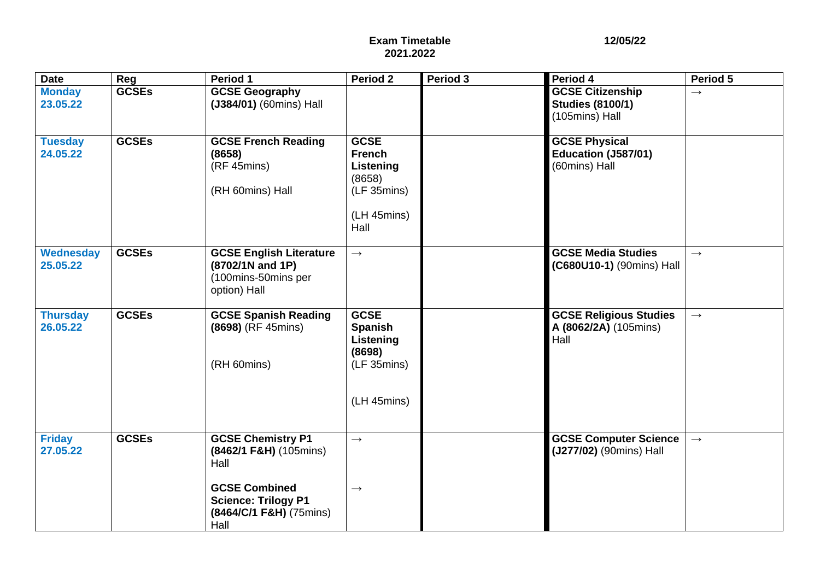| <b>Date</b>                  | Reg          | Period 1                                                                                  | Period 2                                                                                  | Period 3 | Period 4                                                             | Period 5          |
|------------------------------|--------------|-------------------------------------------------------------------------------------------|-------------------------------------------------------------------------------------------|----------|----------------------------------------------------------------------|-------------------|
| <b>Monday</b><br>23.05.22    | <b>GCSEs</b> | <b>GCSE Geography</b><br>(J384/01) (60mins) Hall                                          |                                                                                           |          | <b>GCSE Citizenship</b><br><b>Studies (8100/1)</b><br>(105mins) Hall | $\rightarrow$     |
| <b>Tuesday</b><br>24.05.22   | <b>GCSEs</b> | <b>GCSE French Reading</b><br>(8658)<br>(RF 45mins)<br>(RH 60mins) Hall                   | <b>GCSE</b><br><b>French</b><br>Listening<br>(8658)<br>(LF 35mins)<br>(LH 45mins)<br>Hall |          | <b>GCSE Physical</b><br>Education (J587/01)<br>(60mins) Hall         |                   |
| <b>Wednesday</b><br>25.05.22 | <b>GCSEs</b> | <b>GCSE English Literature</b><br>(8702/1N and 1P)<br>(100mins-50mins per<br>option) Hall | $\rightarrow$                                                                             |          | <b>GCSE Media Studies</b><br>(C680U10-1) (90mins) Hall               | $\rightarrow$     |
| <b>Thursday</b><br>26.05.22  | <b>GCSEs</b> | <b>GCSE Spanish Reading</b><br>(8698) (RF 45mins)<br>(RH 60mins)                          | <b>GCSE</b><br>Spanish<br>Listening<br>(8698)<br>(LF 35mins)<br>(LH 45mins)               |          | <b>GCSE Religious Studies</b><br>A (8062/2A) (105mins)<br>Hall       | $\rightarrow$     |
| <b>Friday</b><br>27.05.22    | <b>GCSEs</b> | <b>GCSE Chemistry P1</b><br>(8462/1 F&H) (105mins)<br>Hall                                | $\longrightarrow$                                                                         |          | <b>GCSE Computer Science</b><br>(J277/02) (90mins) Hall              | $\longrightarrow$ |
|                              |              | <b>GCSE Combined</b><br><b>Science: Trilogy P1</b><br>(8464/C/1 F&H) (75mins)<br>Hall     | $\longrightarrow$                                                                         |          |                                                                      |                   |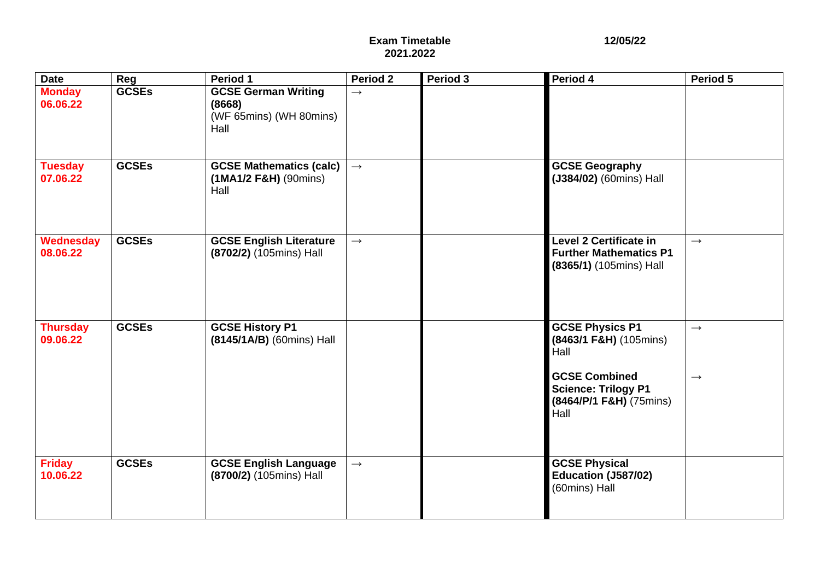| <b>Date</b>                  | Reg          | Period 1                                                                | Period 2          | Period 3 | Period 4                                                                                                       | Period 5                               |
|------------------------------|--------------|-------------------------------------------------------------------------|-------------------|----------|----------------------------------------------------------------------------------------------------------------|----------------------------------------|
| <b>Monday</b><br>06.06.22    | <b>GCSEs</b> | <b>GCSE German Writing</b><br>(8668)<br>(WF 65mins) (WH 80mins)<br>Hall | $\rightarrow$     |          |                                                                                                                |                                        |
| <b>Tuesday</b><br>07.06.22   | <b>GCSEs</b> | <b>GCSE Mathematics (calc)</b><br>$(1MA1/2 F&H)$ (90mins)<br>Hall       | $\longrightarrow$ |          | <b>GCSE Geography</b><br>(J384/02) (60mins) Hall                                                               |                                        |
| <b>Wednesday</b><br>08.06.22 | <b>GCSEs</b> | <b>GCSE English Literature</b><br>(8702/2) (105mins) Hall               | $\longrightarrow$ |          | <b>Level 2 Certificate in</b><br><b>Further Mathematics P1</b><br>(8365/1) (105mins) Hall                      | $\longrightarrow$                      |
| <b>Thursday</b><br>09.06.22  | <b>GCSEs</b> | <b>GCSE History P1</b><br>(8145/1A/B) (60mins) Hall                     |                   |          | <b>GCSE Physics P1</b><br>(8463/1 F&H) (105mins)<br>Hall<br><b>GCSE Combined</b><br><b>Science: Trilogy P1</b> | $\longrightarrow$<br>$\longrightarrow$ |
|                              |              |                                                                         |                   |          | (8464/P/1 F&H) (75mins)<br>Hall                                                                                |                                        |
| <b>Friday</b><br>10.06.22    | <b>GCSEs</b> | <b>GCSE English Language</b><br>(8700/2) (105mins) Hall                 | $\longrightarrow$ |          | <b>GCSE Physical</b><br>Education (J587/02)<br>(60mins) Hall                                                   |                                        |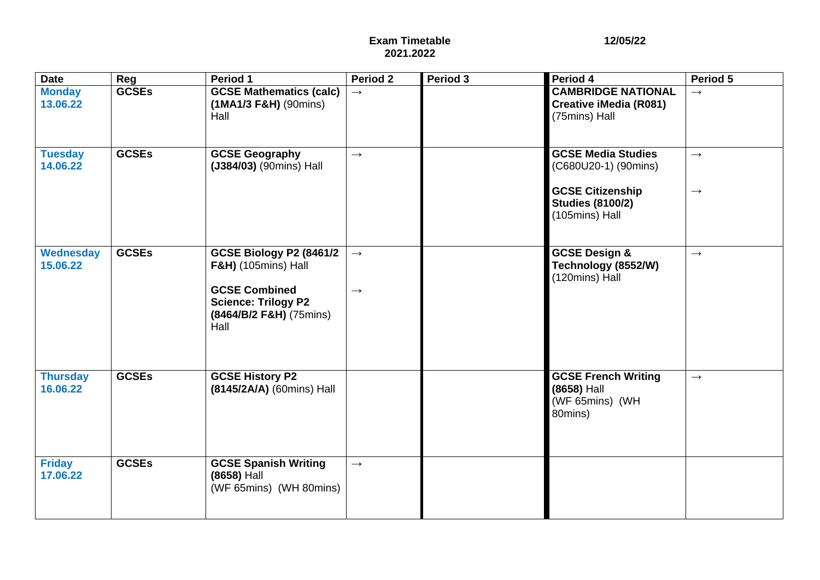| <b>Date</b>                  | Reg          | Period 1                                                                                                                                                | Period 2                           | Period 3 | Period 4                                                                                                                  | Period 5                           |
|------------------------------|--------------|---------------------------------------------------------------------------------------------------------------------------------------------------------|------------------------------------|----------|---------------------------------------------------------------------------------------------------------------------------|------------------------------------|
| <b>Monday</b><br>13.06.22    | <b>GCSEs</b> | <b>GCSE Mathematics (calc)</b><br>$(1MA1/3 F&H)$ (90mins)<br>Hall                                                                                       | $\rightarrow$                      |          | <b>CAMBRIDGE NATIONAL</b><br><b>Creative iMedia (R081)</b><br>(75mins) Hall                                               | $\rightarrow$                      |
| <b>Tuesday</b><br>14.06.22   | <b>GCSEs</b> | <b>GCSE Geography</b><br>(J384/03) (90mins) Hall                                                                                                        | $\longrightarrow$                  |          | <b>GCSE Media Studies</b><br>(C680U20-1) (90mins)<br><b>GCSE Citizenship</b><br><b>Studies (8100/2)</b><br>(105mins) Hall | $\rightarrow$<br>$\longrightarrow$ |
| <b>Wednesday</b><br>15.06.22 | <b>GCSEs</b> | GCSE Biology P2 (8461/2<br><b>F&amp;H)</b> (105mins) Hall<br><b>GCSE Combined</b><br><b>Science: Trilogy P2</b><br>$(8464/B/2$ F&H $)$ (75mins)<br>Hall | $\longrightarrow$<br>$\rightarrow$ |          | <b>GCSE Design &amp;</b><br>Technology (8552/W)<br>(120mins) Hall                                                         | $\rightarrow$                      |
| <b>Thursday</b><br>16.06.22  | <b>GCSEs</b> | <b>GCSE History P2</b><br>(8145/2A/A) (60mins) Hall                                                                                                     |                                    |          | <b>GCSE French Writing</b><br>(8658) Hall<br>(WF 65mins) (WH<br>80mins)                                                   | $\longrightarrow$                  |
| <b>Friday</b><br>17.06.22    | <b>GCSEs</b> | <b>GCSE Spanish Writing</b><br>(8658) Hall<br>(WF 65mins) (WH 80mins)                                                                                   | $\longrightarrow$                  |          |                                                                                                                           |                                    |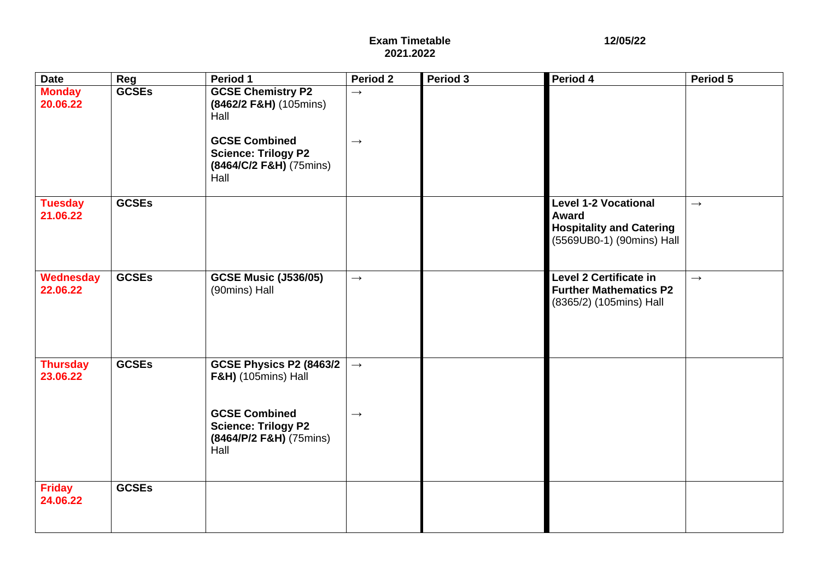| <b>Date</b>                  | Reg          | Period 1                                                                              | <b>Period 2</b>   | Period 3 | Period 4                                                                                             | Period 5      |
|------------------------------|--------------|---------------------------------------------------------------------------------------|-------------------|----------|------------------------------------------------------------------------------------------------------|---------------|
| <b>Monday</b><br>20.06.22    | <b>GCSEs</b> | <b>GCSE Chemistry P2</b><br>(8462/2 F&H) (105mins)<br>Hall<br><b>GCSE Combined</b>    | $\rightarrow$     |          |                                                                                                      |               |
|                              |              | <b>Science: Trilogy P2</b><br>(8464/C/2 F&H) (75mins)<br>Hall                         | $\rightarrow$     |          |                                                                                                      |               |
| <b>Tuesday</b><br>21.06.22   | <b>GCSEs</b> |                                                                                       |                   |          | <b>Level 1-2 Vocational</b><br>Award<br><b>Hospitality and Catering</b><br>(5569UB0-1) (90mins) Hall | $\rightarrow$ |
| <b>Wednesday</b><br>22.06.22 | <b>GCSEs</b> | <b>GCSE Music (J536/05)</b><br>(90mins) Hall                                          | $\longrightarrow$ |          | <b>Level 2 Certificate in</b><br><b>Further Mathematics P2</b><br>(8365/2) (105mins) Hall            | $\rightarrow$ |
| <b>Thursday</b><br>23.06.22  | <b>GCSEs</b> | GCSE Physics P2 (8463/2<br><b>F&amp;H)</b> (105mins) Hall                             | $\longrightarrow$ |          |                                                                                                      |               |
|                              |              | <b>GCSE Combined</b><br><b>Science: Trilogy P2</b><br>(8464/P/2 F&H) (75mins)<br>Hall | $\rightarrow$     |          |                                                                                                      |               |
| <b>Friday</b><br>24.06.22    | <b>GCSEs</b> |                                                                                       |                   |          |                                                                                                      |               |